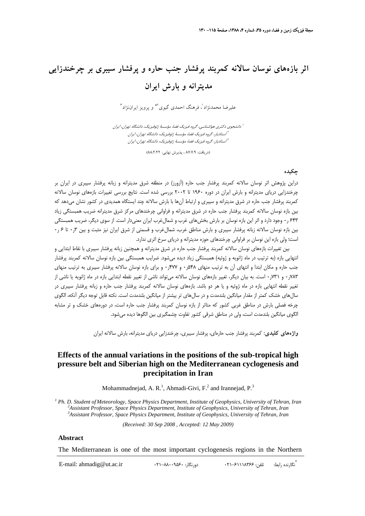# **اثر بازههاي نوسان سالانه كمربند پرفشار جنب حاره و پرفشار سيبري بر چرخندزايي مديترانه و بارش ايران**

عليرضا محمدنژاد ٰ، فرهنگ احمدي گيوي <sup>٣</sup>\* و پرويز ايراننژاد ّ

دانشجوي دكتري هواشناسي، گروه فيزيك فضا، مؤسسة ژئوفيزيك، دانشگاه تهران، ايران <sup>1</sup> استاديار، گروه فيزيك فضا، مؤسسة ژئوفيزيك، دانشگاه تهران، ايران <sup>2</sup> استاديار، گروه فيزيك فضا، مؤسسة ژئوفيزيك، دانشگاه تهران، ايران <sup>3</sup>

(دريافت: ٨٧/٧/٩ ، پذيرش نهايي: ٨٨/٢/٢٢)

### **چكيده**

دراين پژوهش اثر نوسان سالانه كمربند پرفشار جنب حاره (آزورز) در منطقه شرق مديترانه و زبانه پرفشار سيبري در ايران بر چرخندزايي درياي مديترانه و بارش ايران در دوره 1960 تا 2002 بررسي شده است. نتايج بررسي تغييرات بازههاي نوسان سالانه كمربند پرفشار جنب حاره در شرق مديترانه و سيبري و ارتباط آنها با بارش سالانه چند ايستگاه همديدي در كشور نشان ميدهد كه بين بازه نوسان سالانه كمربند پرفشار جنب حاره در شرق مديترانه و فراواني چرخندهاي مركز شرق مديترانه ضريب همبستگي زياد 643 ر0 وجود دارد و اثر اين بازه نوسان بر بارش بخشهاي غرب و شمالغرب ايران معنيدار است. از سوي ديگر، ضريب همبستگي بين بازه نوسان سالانه زبانه پرفشار سيبري و بارش مناطق غرب، شمالغرب و قسمتي از شرق ايران نيز مثبت و بين ٦ر٠ تا ۶ ر٠ است؛ ولي بازه اين نوسان بر فراواني چرخندهاي حوزه مديترانه و درياي سرخ اثري ندارد.

بين تغييرات بازههاي نوسان سالانه كمربند پرفشار جنب حاره در شرق مديترانه و همچنين زبانه پرفشار سيبري با نقاط ابتدايي و انتهايي بازه (به ترتيب در ماه ژانويه و ژوئيه) همبستگي زياد ديده ميشود. ضرايب همبستگي بين بازه نوسان سالانه كمربند پرفشار جنب حاره و مكان ابتدا و انتهاي آن به ترتيب منهاي 548ر0 و 477ر0 و براي بازه نوسان سالانه پرفشار سيبري به ترتيب منهاي ۰٫۷۸۳ و ۰٫۷۳۱ است. به بيان ديگر، تغيير بازههاي نوسان سالانه مي تواند ناشي از تغيير نقطه ابتدايي بازه در ماه ژانويه يا ناشي از تغيير نقطه انتهايي بازه در ماه ژوئيه و يا هر دو باشد. بازههاي نوسان سالانه كمربند پرفشار جنب حاره و زبانه پرفشار سيبري در سالهاي خشك كمتر از مقدار ميانگين بلندمدت و در سالهاي تر بيشتر از ميانگين بلندمدت است. نكته قابل توجه ديگر آنكه، الگوي چرخه فصلي بارش در مناطق غربي كشور كه متاثر از بازه نوسان كمربند پرفشار جنب حاره است، در دورههاي خشك و تر مشابه الگوي ميانگين بلندمدت است، ولي در مناطق شرقي كشور تفاوت چشمگيري بين الگوها ديده ميشود.

**واژههاي كليدي:** كمربند پرفشار جنب حارهاي، پرفشار سيبري، چرخندزايي درياي مديترانه، بارش سالانه ايران

## **Effects of the annual variations in the positions of the sub-tropical high pressure belt and Siberian high on the Mediterranean cyclogenesis and precipitation in Iran**

Mohammadnejad, A. R.<sup>1</sup>, Ahmadi-Givi, F.<sup>2</sup> and Irannejad, P.<sup>3</sup>

<sup>1</sup> Ph. D. Student of Meteorology, Space Physics Department, Institute of Geophysics, University of Tehran, Iran <sup>2</sup> Assistant Pushses Crass Physics Department, Institute of Geophysics, University of Tehran, Iran *Assistant Professor, Space Physics Department, Institute of Geophysics, University of Tehran, Iran <sup>3</sup> Assistant Professor, Space Physics Department, Institute of Geophysics, University of Tehran, Iran*

*(Received: 30 Sep 2008 , Accepted: 12 May 2009)*

#### **Abstract**

The Mediterranean is one of the most important cyclogenesis regions in the Northern

\* تَكارنده رابط: تلفن: ۱۱۸۳۶۶–۲۱۰ دورنگار: ۱۲۰-۸۸۰۰۹۵۶۰+۲۲-۸۸۰۰۵۶ : E-mail: ahmadig@ut.ac.ir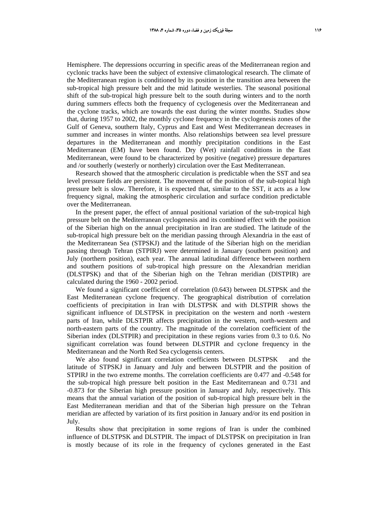Hemisphere. The depressions occurring in specific areas of the Mediterranean region and cyclonic tracks have been the subject of extensive climatological research. The climate of the Mediterranean region is conditioned by its position in the transition area between the sub-tropical high pressure belt and the mid latitude westerlies. The seasonal positional shift of the sub-tropical high pressure belt to the south during winters and to the north during summers effects both the frequency of cyclogenesis over the Mediterranean and the cyclone tracks, which are towards the east during the winter months. Studies show that, during 1957 to 2002, the monthly cyclone frequency in the cyclogenesis zones of the Gulf of Geneva, southern Italy, Cyprus and East and West Mediterranean decreases in summer and increases in winter months. Also relationships between sea level pressure departures in the Mediterranean and monthly precipitation conditions in the East Mediterranean (EM) have been found. Dry (Wet) rainfall conditions in the East Mediterranean, were found to be characterized by positive (negative) pressure departures and /or southerly (westerly or northerly) circulation over the East Mediterranean.

Research showed that the atmospheric circulation is predictable when the SST and sea level pressure fields are persistent. The movement of the position of the sub-topical high pressure belt is slow. Therefore, it is expected that, similar to the SST, it acts as a low frequency signal, making the atmospheric circulation and surface condition predictable over the Mediterranean.

In the present paper, the effect of annual positional variation of the sub-tropical high pressure belt on the Mediterranean cyclogenesis and its combined effect with the position of the Siberian high on the annual precipitation in Iran are studied. The latitude of the sub-tropical high pressure belt on the meridian passing through Alexandria in the east of the Mediterranean Sea (STPSKJ) and the latitude of the Siberian high on the meridian passing through Tehran (STPIRJ) were determined in January (southern position) and July (northern position), each year. The annual latitudinal difference between northern and southern positions of sub-tropical high pressure on the Alexandrian meridian (DLSTPSK) and that of the Siberian high on the Tehran meridian (DlSTPIR) are calculated during the 1960 - 2002 period.

We found a significant coefficient of correlation (0.643) between DLSTPSK and the East Mediterranean cyclone frequency. The geographical distribution of correlation coefficients of precipitation in Iran with DLSTPSK and with DLSTPIR shows the significant influence of DLSTPSK in precipitation on the western and north -western parts of Iran, while DLSTPIR affects precipitation in the western, north-western and north-eastern parts of the country. The magnitude of the correlation coefficient of the Siberian index (DLSTPIR) and precipitation in these regions varies from 0.3 to 0.6. No significant correlation was found between DLSTPIR and cyclone frequency in the Mediterranean and the North Red Sea cyclogensis centers.

We also found significant correlation coefficients between DLSTPSK and the latitude of STPSKJ in January and July and between DLSTPIR and the position of STPIRJ in the two extreme months. The correlation coefficients are 0.477 and -0.548 for the sub-tropical high pressure belt position in the East Mediterranean and 0.731 and -0.873 for the Siberian high pressure position in January and July, respectively. This means that the annual variation of the position of sub-tropical high pressure belt in the East Mediterranean meridian and that of the Siberian high pressure on the Tehran meridian are affected by variation of its first position in January and/or its end position in July.

Results show that precipitation in some regions of Iran is under the combined influence of DLSTPSK and DLSTPIR. The impact of DLSTPSK on precipitation in Iran is mostly because of its role in the frequency of cyclones generated in the East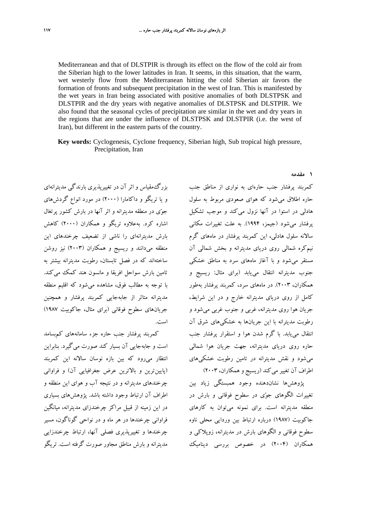Mediterranean and that of DLSTPIR is through its effect on the flow of the cold air from the Siberian high to the lower latitudes in Iran. It seems, in this situation, that the warm, wet westerly flow from the Mediterranean hitting the cold Siberian air favors the formation of fronts and subsequent precipitation in the west of Iran. This is manifested by the wet years in Iran being associated with positive anomalies of both DLSTPSK and DLSTPIR and the dry years with negative anomalies of DLSTPSK and DLSTPIR. We also found that the seasonal cycles of precipitation are similar in the wet and dry years in the regions that are under the influence of DLSTPSK and DLSTPIR (i.e. the west of Iran), but different in the eastern parts of the country.

**Key words:** Cyclogenesis, Cyclone frequency, Siberian high, Sub tropical high pressure, Precipitation, Iran

بزرگمقياس و اثر آن در تغييرپذيري بارندگي مديترانهاي و يا تريگو و داكامارا (2000) در مورد انواع گردشهاي جوي در منطقه مديترانه و اثر آنها در بارش كشور پرتغال اشاره كرد. بهعلاوه تريگو و همكاران (2000) كاهش بارش مديترانهاي را ناشي از تضعيف چرخندهاي اين منطقه ميدانند و ريسيج و همكاران (2003) نيز روشن ساختهاند كه در فصل تابستان، رطوبت مديترانه بيشتر به تامين بارش سواحل افريقا و مانسون هند كمك ميكند. با توجه به مطالب فوق، مشاهده ميشود كه اقليم منطقه مديترانه متاثر از جابهجايي كمربند پرفشار و همچنين جريانهاي سطوح فوقاني (براي مثال، جاكوبيت 1987) است.

كمربند پرفشار جنب حاره جزء سامانههاي كمبسامد است و جابهجايي آن بسيار كند صورت ميگيرد. بنابراين انتظار ميرود كه بين بازه نوسان سالانه اين كمربند (پايينترين و بالاترين عرض جغرافيايي آن) و فراواني چرخندهاي مديترانه و در نتيجه آب و هواي اين منطقه و اطراف آن ارتباط وجود داشته باشد. پژوهشهاي بسياري در اين زمينه از قبيل مراكز چرخندزاي مديترانه، ميانگين فراواني چرخندها در هر ماه و در نواحي گوناگون، مسير چرخندها و تغييرپذيري فصلي آنها، ارتباط چرخندزايي مديترانه و بارش مناطق مجاور صورت گرفته است. تريگو

كمربند پرفشار جنب حارهاي به نواري از مناطق جنب حاره اطلاق ميشود كه هواي صعودي مربوط به سلول هادلي در استوا در آنها نزول ميكند و موجب تشكيل پرفشار ميشود (جيمز، 1994). به علت تغييرات مكاني سالانه سلول هادلي، اين كمربند پرفشار در ماههاي گرم نيمكره شمالي روي درياي مديترانه و بخش شمالي آن مستقر ميشود و با آغاز ماههاي سرد به مناطق خشكي جنوب مديترانه انتقال مييابد (براي مثال: ريسيج و همكاران، 2003). در ماههاي سرد، كمربند پرفشار بهطور كامل از روي درياي مديترانه خارج و در اين شرايط، جريان هوا روي مديترانه، غربي و جنوب غربي ميشود و رطوبت مديترانه با اين جريانها به خشكيهاي شرق آن انتقال مييابد. با گرم شدن هوا و استقرار پرفشار جنب حاره روي درياي مديترانه، جهت جريان هوا شمالي ميشود و نقش مديترانه در تامين رطوبت خشكيهاي اطراف آن تغيير مي كند (ريسيج و همكاران، ٢٠٠٣)

پژوهشها نشاندهنده وجود همبستگي زياد بين تغييرات الگوهاي جوي در سطوح فوقاني و بارش در منطقه مديترانه است. براي نمونه ميتوان به كارهاي جاكوبيت (1987) درباره ارتباط بين وردايي محلي ناوه سطوح فوقاني و الگوهاي بارش در مديترانه، زوپلاكي و همكاران (2004) در خصوص بررسي ديناميك

**1 مقدمه**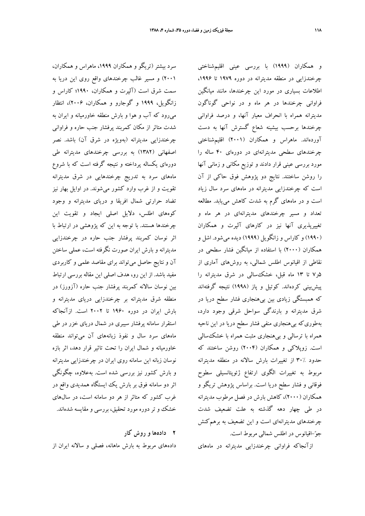سرد بيشتر (تريگو و همكاران ،1999 ماهراس و همكاران، 2001) و مسير غالب چرخندهاي واقع روي اين دريا به سمت شرق است (آلپرت و همكاران، 1990؛ كاراس و زانگويل، 1999 و گوجارو و همكاران، 2006)، انتظار ميرود كه آب و هوا و بارش منطقه خاورميانه و ايران به شدت متاثر از مكان كمربند پرفشار جنب حاره و فراواني چرخندزايي مديترانه (بهويژه در شرق آن) باشد. نصر اصفهاني (1382) به بررسي چرخندهاي مديترانه طي دورهاي يكساله پرداخته و نتيجه گرفته است كه با شروع ماههاي سرد به تدريج چرخندهايي در شرق مديترانه تقويت و از غرب وارد كشور ميشوند. در اوايل بهار نيز تضاد حرارتي شمال افريقا و درياي مديترانه و وجود كوههاي اطلس، دلايل اصلي ايجاد و تقويت اين چرخندها هستند. با توجه به اين كه پژوهشي در ارتباط با اثر نوسان كمربند پرفشار جنب حاره در چرخندزايي مديترانه و بارش ايران صورت نگرفته است، عملي ساختن آن و نتايج حاصل ميتواند براي مقاصد علمي و كاربردي مفيد باشد. از اين رو، هدف اصلي اين مقاله بررسي ارتباط بين نوسان سالانه كمربند پرفشار جنب حاره (آزورز) در منطقه شرق مديترانه بر چرخندزايي درياي مديترانه و بارش ايران در دوره 1960 تا 2002 است. ازآنجاكه استقرار سامانه پرفشار سيبري در شمال درياي خزر در طي ماههاي سرد سال و نفوذ زبانههاي آن ميتواند منطقه خاورميانه و شمال ايران را تحت تاثير قرار دهد، اثر بازه نوسان زبانه اين سامانه روي ايران در چرخندزايي مديترانه و بارش كشور نيز بررسي شده است. بهعلاوه، چگونگي اثر دو سامانه فوق بر بارش يك ايستگاه همديدي واقع در غرب كشور كه متاثر از هر دو سامانه است، در سالهاي خشك و تر دوره مورد تحقيق، بررسي و مقايسه شدهاند.

## **2 دادهها و روش كار**

دادههاي مربوط به بارش ماهانه، فصلي و سالانه ايران از

و همكاران (1999) با بررسي عيني اقليمشناختي چرخندزايي در منطقه مديترانه در دوره ۱۹۷۹ تا ۱۹۹۶. اطلاعات بسياري در مورد اين چرخندها، مانند ميانگين فراواني چرخندها در هر ماه و در نواحي گوناگون مديترانه همراه با انحراف معيار آنها، و درصد فراواني چرخندها برحسب بيشينه شعاع گسترش آنها به دست آوردهاند. ماهراس و همكاران (2001) اقليمشناختي چرخندهاي سطحي مديترانهاي در دورهاي 40 ساله را مورد بررسي عيني قرار دادند و توزيع مكاني و زماني آنها را روشن ساختند. نتايج دو پژوهش فوق حاكي از آن است كه چرخندزايي مديترانه در ماههاي سرد سال زياد است و در ماههاي گرم به شدت كاهش مييابد. مطالعه تعداد و مسير چرخندهاي مديترانهاي در هر ماه و تغييرپذيري آنها نيز در كارهاي آلپرت و همكاران (1990) و كاراس و زانگويل (1999) ديده ميشود. اشل و همكاران (2000) با استفاده از ميانگين فشار سطحي در نقاطي از اقيانوس اطلس شمالي، به روشهاي آماري از 5ر7 تا 13 ماه قبل، خشكسالي در شرق مديترانه را پيشبيني كردهاند. كوتيل و پاز (1998) نتيجه گرفتهاند كه همبستگي زيادي بين بيهنجاري فشار سطح دريا در شرق مديترانه و بارندگي سواحل شرقي وجود دارد، بهطوريكه بيهنجاري منفي فشار سطح دريا در اين ناحيه همراه با ترسالي و بيهنجاري مثبت همراه با خشكسالي است. زوپلاكي و همكاران (2004) روشن ساختند كه حدود 30% از تغييرات بارش سالانه در منطقه مديترانه مربوط به تغييرات الگوي ارتفاع ژئوپتانسيلي سطوح فوقاني و فشار سطح دريا است. براساس پژوهش تريگو و همكاران (2000)، كاهش بارش در فصل مرطوب مديترانه در طي چهار دهه گذشته به علت تضعيف شدت چرخندهاي مديترانهاي است و اين تضعيف به برهم كنش جو-اقيانوس در اطلس شمالي مربوط است.

ازآنجاكه فراواني چرخندزايي مديترانه در ماههاي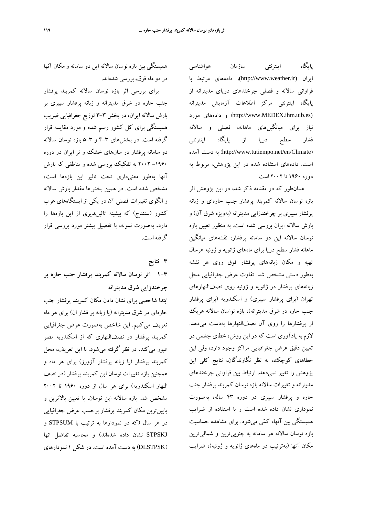پايگاه اينترنتي سازمان هواشناسي ايران (ir.weather.www://http(، دادههاي مرتبط با فراواني سالانه و فصلي چرخندهاي درياي مديترانه از پايگاه اينترنتي مركز اطلاعات آزمايش مديترانه مورد دادههاي و) http://www.MEDEX.ihm.uib.es) نياز براي ميانگينهاي ماهانه، فصلي و سالانه فشار سطح دريا از پايگاه اينترنتي آمده دست به) http://www.tutiempo.net/en/Climate) است. دادههاي استفاده شده در اين پژوهش، مربوط به دوره 1960 تا 2002 است.

همانطور كه در مقدمه ذكر شد، در اين پژوهش اثر بازه نوسان سالانه كمربند پرفشار جنب حارهاي و زبانه پرفشار سيبري بر چرخندزايي مديترانه (بهويژه شرق آن) و بارش سالانه ايران بررسي شده است. به منظور تعيين بازه نوسان سالانه اين دو سامانه پرفشار، نقشههاي ميانگين ماهانه فشار سطح دريا براي ماههاي ژانويه و ژوئيه هرسال تهيه و مكان زبانههاي پرفشار فوق روي هر نقشه بهطور دستي مشخص شد. تفاوت عرض جغرافيايي محل زبانههاي پرفشار در ژانويه و ژوئيه روي نصفالنهارهاي تهران (براي پرفشار سيبري) و اسكندريه (براي پرفشار جنب حاره در شرق مديترانه)، بازه نواسان سالانه هريك از پرفشارها را روي آن نصفالنهارها بهدست ميدهد. لازم به يادآوري است كه در اين روش، خطاي چشمي در تعيين دقيق عرض جغرافيايي مراكز وجود دارد، ولي اين خطاهاي كوچك، به نظر نگارندگان، نتايج كلي اين پژوهش را تغيير نميدهد. ارتباط بين فراواني چرخندهاي مديترانه و تغييرات سالانه بازه نوسان كمربند پرفشار جنب حاره و پرفشار سيبري در دوره 43 ساله، بهصورت نموداري نشان داده شده است و با استفاده از ضرايب همبستگي بين آنها، كمي ميشود. براي مشاهده حساسيت بازه نوسان سالانه هر سامانه به جنوبيترين و شماليترين مكان آنها (بهترتيب در ماههاي ژانويه و ژوئيه)، ضرايب

همبستگي بين بازه نوسان سالانه اين دو سامانه و مكان آنها در دو ماه فوق، بررسي شدهاند.

براي بررسي اثر بازه نوسان سالانه كمربند پرفشار جنب حاره در شرق مديترانه و زبانه پرفشار سيبري بر بارش سالانه ايران، در بخش 3-3 توزيع جغرافيايي ضريب همبستگي براي كل كشور رسم شده و مورد مقايسه قرار گرفته است. در بخشهاي 4-3 و 5-3 بازه نوسان سالانه دو سامانه پرفشار در سالهاي خشك و تر ايران در دوره -1960 2002 به تفكيك بررسي شده و مناطقي كه بارش آنها بهطور معنيداري تحت تاثير اين بازهها است، مشخص شده است. در همين بخشها مقدار بارش سالانه و الگوي تغييرات فصلي آن در يكي از ايستگاههاي غرب كشور (سنندج) كه بيشينه تاثيرپذيري از اين بازهها را دارد، بهصورت نمونه، با تفصيل بيشتر مورد بررسي قرار گرفته است.

**3 نتايج**

**1-3 اثر نوسان سالانه كمربند پرفشار جنب حاره بر چرخندزايي شرق مديترانه**

ابتدا شاخصي براي نشان دادن مكان كمربند پرفشار جنب حارهاي در شرق مديترانه (يا زبانه پر فشار ان) براي هر ماه تعريف ميكنيم. اين شاخص بهصورت عرض جغرافيايي كمربند پرفشار در نصفالنهاري كه از اسكندريه مصر عبور ميكند، در نظر گرفته ميشود. با اين تعريف، محل كمربند پرفشار (يا زبانه پرفشار آزورز) براي هر ماه و همچنين بازه تغييرات نوسان اين كمربند پرفشار (در نصف النهار اسكندريه) براي هر سال از دوره 1960 تا 2002 مشخص شد. بازه سالانه اين نوسان، با تعيين بالاترين و پايينترين مكان كمربند پرفشار برحسب عرض جغرافيايي در هر سال (كه در نمودارها به ترتيب با STPSUM و STPSKJ نشان داده شدهاند) و محاسبه تفاضل انها (DLSTPSK (به دست آمده است. در شكل 1 نمودارهاي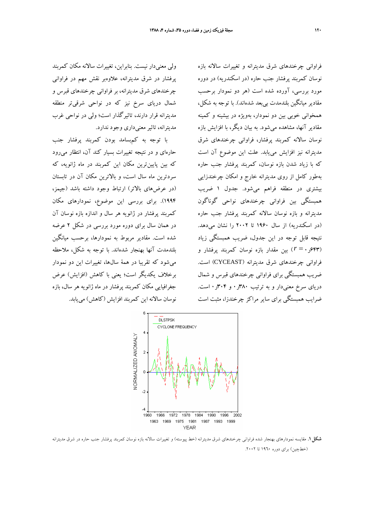فراواني چرخندهاي شرق مديترانه و تغييرات سالانه بازه نوسان كمربند پرفشار جنب حاره (در اسكندريه) در دوره مورد بررسي، آورده شده است (هر دو نمودار برحسب مقادير ميانگين بلندمدت بيبعد شدهاند). با توجه به شكل، همخواني خوبي بين دو نمودار، بهويژه در بيشينه و كمينه مقادير آنها، مشاهده ميشود. به بيان ديگر، با افزايش بازه نوسان سالانه كمربند پرفشار، فراواني چرخندهاي شرق مديترانه نيز افزايش مييابد. علت اين موضوع آن است كه با زياد شدن بازه نوسان، كمربند پرفشار جنب حاره بهطور كامل از روي مديترانه خارج و امكان چرخندزايي بيشتري در منطقه فراهم ميشود. جدول 1 ضريب همبستگي بين فراواني چرخندهاي نواحي گوناگون مديترانه و بازه نوسان سالانه كمربند پرفشار جنب حاره (در اسكندريه) از سال 1960 تا 2002 را نشان ميدهد. نتيجه قابل توجه در اين جدول، ضريب همبستگي زياد (643ر0 = *r* (بين مقدار بازه نوسان كمربند پرفشار و فراواني چرخندهاي شرق مديترانه (CYCEAST (است. ضريب همبستگي براي فراواني چرخندهاي قبرس و شمال درياي سرخ معنيدار و به ترتيب 380ر0 و 304ر0 است. ضرايب همبستگي براي ساير مراكز چرخندزا، مثبت است



**شكل.1** مقايسه نمودارهاي بهنجار شده فراواني چرخندهاي شرق مديترانه (خط پيوسته) و تغييرات سالانه بازه نوسان كمربند پرفشار جنب حاره در شرق مديترانه (خطچين) براي دوره ١٩٦٠ تا ٢٠٠٢.

ولي معنيدار نيست. بنابراين، تغييرات سالانه مكان كمربند پرفشار در شرق مديترانه، علاوهبر نقش مهم در فراواني چرخندهاي شرق مديترانه، بر فراواني چرخندهاي قبرس و شمال درياي سرخ نيز كه در نواحي شرقيتر منطقه مديترانه قرار دارند، تاثيرگذار است؛ ولي در نواحي غرب مديترانه، تاثير معنيداري وجود ندارد.

با توجه به كمبسامد بودن كمربند پرفشار جنب حارهاي و در نتيجه تغييرات بسيار كند آن، انتظار ميرود كه بين پايينترين مكان اين كمربند در ماه ژانويه، كه سردترين ماه سال است، و بالاترين مكان آن در تابستان (در عرضهاي بالاتر) ارتباط وجود داشته باشد (جيمز، 1994). براي بررسي اين موضوع، نمودارهاي مكان كمربند پرفشار در ژانويه هر سال و اندازه بازه نوسان آن در همان سال براي دوره مورد بررسي در شكل 2 عرضه شده است. مقادير مربوط به نمودارها، برحسب ميانگين بلندمدت آنها بهنجار شدهاند. با توجه به شكل، ملاحظه ميشود كه تقريبا در همة سالها، تغييرات اين دو نمودار برخلاف يكديگر است؛ يعني با كاهش (افزايش) عرض جغرافيايي مكان كمربند پرفشار در ماه ژانويه هر سال، بازه نوسان سالانه اين كمربند افزايش (كاهش) مييابد.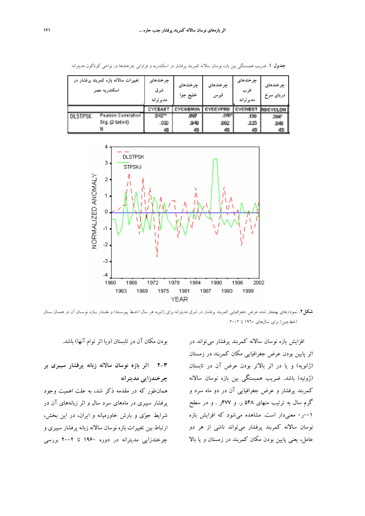| تغییرات سالانه بازه کمربند پرفشار در<br>اسكندريه مصر |                            | چرخندهای<br>شرق<br>مدير ترانه | چرخندهای<br>خليج جوا | جر خندهای<br>قبرس | چرخندهای<br>غرب<br>مدير ترانه | چر خندهای<br>دریای سرخ |
|------------------------------------------------------|----------------------------|-------------------------------|----------------------|-------------------|-------------------------------|------------------------|
|                                                      |                            | CYCBAS                        | 目的どな                 | CYPRU             |                               | YCLON                  |
| <b>DLSTPSK</b>                                       | <b>Pearson Correlation</b> | $.643***$                     | .OOF                 | 380               | .170                          | 304*                   |
|                                                      | Sig. (2-tailed)            | .000                          | 949                  | ,002              | 325                           | ,043                   |
|                                                      |                            | 42                            | 48                   | 48                | 48                            |                        |

**جدول .1** ضريب همبستگي بين بازه نوسان سالانه كمربند پرفشار در اسكندريه و فراواني چرخندها در نواحي گوناگون مديترانه.



**شكل.2** نمودارهاي بهنجار شده عرض جغرافيايي كمربند پرفشار در شرق مديترانه براي ژانويه هر سال (خـط پيوسـته) و مقـدار بـازه نوسـان آن در همـان سـال (خطچين) براي سالهاي ١٩٦٠ تا ٢٠٠٢.

بودن مكان آن در تابستان (ويا اثر توام آنها) باشد.

**2-3 اثر بازه نوسان سالانه زبانه پرفشار سيبري بر چرخندزايي مديترانه**

همانطور كه در مقدمه ذكر شد، به علت اهميت وجود پرفشار سيبري در ماههاي سرد سال و اثر زبانههاي آن در شرايط جوي و بارش خاورميانه و ايران، در اين بخش، ارتباط بين تغييرات بازه نوسان سالانه زبانه پرفشار سيبري و چرخندزايي مديترانه در دوره 1960 تا 2002 بررسي

افزايش بازه نوسان سالانه كمربند پرفشار ميتواند در اثر پايين بودن عرض جغرافيايي مكان كمربند در زمستان (ژانويه) و يا در اثر بالاتر بودن عرض آن در تابستان (ژوئيه) باشد. ضريب همبستگي بين بازه نوسان سالانه كمربند پرفشار و عرض جغرافيايي آن در دو ماه سرد و گرم سال به ترتيب منهاي 548 ر. و 477ر . و در سطح 001ر0 معنيدار است. مشاهده ميشود كه افزايش بازه نوسان سالانه كمربند پرفشار ميتواند ناشي از هر دو عامل، يعني پايين بودن مكان كمربند در زمستان و يا بالا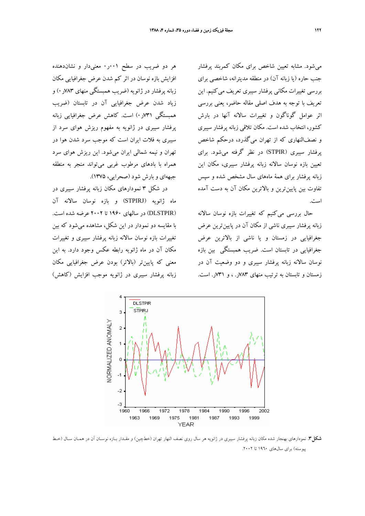ميشود. مشابه تعيين شاخص براي مكان كمربند پرفشار جنب حاره (يا زبانه آن) در منطقه مديترانه، شاخصي براي بررسي تغييرات مكاني پرفشار سيبري تعريف ميكنيم. اين تعريف با توجه به هدف اصلي مقاله حاضر، يعني بررسي اثر عوامل گوناگون و تغييرات سالانه آنها در بارش كشور، انتخاب شده است. مكان تلاقي زبانه پرفشار سيبري و نصفالنهاري كه از تهران ميگذرد، درحكم شاخص پرفشار سيبري (STPIR (در نظر گرفته ميشود. براي تعيين بازه نوسان سالانه زبانه پرفشار سيبري، مكان اين زبانه پرفشار براي همة ماههاي سال مشخص شده و سپس تفاوت بين پايينترين و بالاترين مكان آن به دست آمده است.

حال بررسي ميكنيم كه تغييرات بازه نوسان سالانه زبانه پرفشار سيبري ناشي از مكان آن در پايينترين عرض جغرافيايي در زمستان و يا ناشي از بالاترين عرض جغرافيايي در تابستان است. ضريب همبستگي بين بازه نوسان سالانه زبانه پرفشار سيبري و دو وضعيت آن در زمستان و تابستان به ترتيب منهاي 783ر. ، و 731ر. است.

هر دو ضريب در سطح 001ر0 معنيدار و نشاندهنده افزايش بازه نوسان در اثر كم شدن عرض جغرافيايي مكان زبانه پرفشار در ژانويه (ضريب همبستگي منهاي 783ر0) و زياد شدن عرض جغرافيايي آن در تابستان (ضريب همبستگي 731ر0) است. كاهش عرض جغرافيايي زبانه پرفشار سيبري در ژانويه به مفهوم ريزش هواي سرد از سيبري به فلات ايران است كه موجب سرد شدن هوا در تهران و نيمه شمالي ايران ميشود. اين ريزش هواي سرد همراه با بادهاي مرطوب غربي ميتواند منجر به منطقه جبههاي و بارش شود (صحرايي، 1375).

در شكل 3 نمودارهاي مكان زبانه پرفشار سيبري در ماه ژانويه (STPIRJ (و بازه نوسان سالانه آن (DLSTPIR (در سالهاي 1960 تا 2002 عرضه شده است. با مقايسه دو نمودار در اين شكل، مشاهده ميشود كه بين تغييرات بازه نوسان سالانه زبانه پرفشار سيبري و تغييرات مكان آن در ماه ژانويه رابطه عكس وجود دارد. به اين معني كه پايينتر (بالاتر) بودن عرض جغرافيايي مكان زبانه پرفشار سيبري در ژانويه موجب افزايش (كاهش)



**شكل.3** نمودارهاي بهنجار شده مكان زبانه پرفشار سيبري در ژانويه هر سال روي نصف النهار تهران (خطچين) و مقـدار بـازه نوسـان آن در همـان سـال (خـط پيوسته) براي سالهاي ١٩٦٠ تا ٢٠٠٢.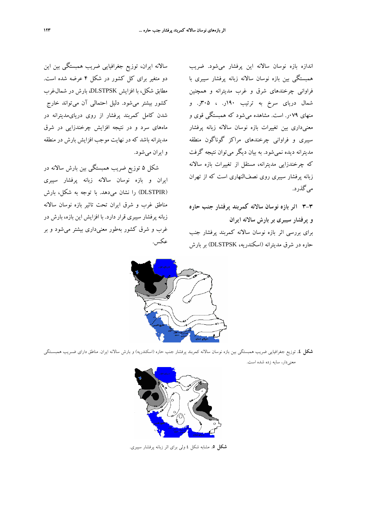سالانه ايران، توزيع جغرافيايي ضريب همبستگي بين اين دو متغير براي كل كشور در شكل 4 عرضه شده است. مطابق شكل، با افزايش DLSTPSK، بارش در شمالغرب كشور بيشتر ميشود. دليل احتمالي آن ميتواند خارج شدن كامل كمربند پرفشار از روي دريايمديترانه در ماههاي سرد و در نتيجه افزايش چرخندزايي در شرق مديترانه باشد كه در نهايت موجب افزايش بارش در منطقه و ايران ميشود.

شكل 5 توزيع ضريب همبستگي بين بارش سالانه در ايران و بازه نوسان سالانه زبانه پرفشار سيبري (DLSTPIR (را نشان ميدهد. با توجه به شكل، بارش مناطق غرب و شرق ايران تحت تاثير بازه نوسان سالانه زبانه پرفشار سيبري قرار دارد. با افزايش اين بازه، بارش در غرب و شرق كشور بهطور معنيداري بيشتر ميشود و بر عكس.

اندازه بازه نوسان سالانه اين پرفشار ميشود. ضريب همبستگي بين بازه نوسان سالانه زبانه پرفشار سيبري با فراواني چرخندهاي شرق و غرب مديترانه و همچنين شمال درياي سرخ به ترتيب 190ر. ، 305ر. و منهاي 079ر. است. مشاهده ميشود كه همبستگي قوي و معنيداري بين تغييرات بازه نوسان سالانه زبانه پرفشار سيبري و فراواني چرخندهاي مراكز گوناگون منطقه مديترانه ديده نميشود. به بيان ديگر ميتوان نتيجه گرفت كه چرخندزايي مديترانه، مستقل از تغييرات بازه سالانه زبانه پرفشار سيبري روي نصفالنهاري است كه از تهران ميگذرد.

**3-3 اثر بازه نوسان سالانه كمربند پرفشار جنب حاره و پرفشار سيبري بر بارش سالانه ايران** براي بررسي اثر بازه نوسان سالانه كمربند پرفشار جنب

حاره در شرق مديترانه (اسكندريه، DLSTPSK (بر بارش



**شكل .4** توزيع جغرافيايي ضريب همبستگي بين بازه نوسان سالانه كمربند پرفشار جنب حاره (اسكندريه) و بارش سالانه ايران. مناطق داراي ضـريب همبسـتگي معنيدار، سايه زده شده است.



**شكل .5** مشابه شكل 4 ولي براي اثر زبانه پرفشار سيبري.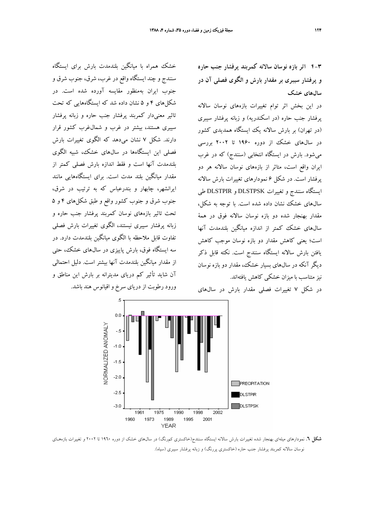خشك همراه با ميانگين بلندمدت بارش براي ايستگاه

سنندج و چند ايستگاه واقع در غرب، شرق، جنوب شرق و جنوب ايران بهمنظور مقايسه آورده شده است. در

شكلهاي 4 و 5 نشان داده شد كه ايستگاههايي كه تحت

تاثير معنيدار كمربند پرفشار جنب حاره و زبانه پرفشار سيبري هستند، بيشتر در غرب و شمالغرب كشور قرار دارند. شكل 7 نشان ميدهد كه الگوي تغييرات بارش

فصلي اين ايستگاهها در سالهاي خشك، شبيه الگوي بلندمدت آنها است و فقط اندازه بارش فصلي كمتر از مقدار ميانگين بلند مدت است. براي ايستگاههايي مانند

ايرانشهر، چابهار و بندرعباس كه به ترتيب در شرق، جنوب شرق و جنوب كشور واقع و طبق شكلهاي 4 و 5 تحت تاثير بازههاي نوسان كمربند پرفشار جنب حاره و

زبانه پرفشار سيبري نيستند، الگوي تغييرات بارش فصلي

تفاوت قابل ملاحظه با الگوي ميانگين بلندمدت دارد. در

سه ايستگاه فوق، بارش پاييزي در سالهاي خشك، حتي از مقدار ميانگين بلندمدت آنها بيشتر است. دليل احتمالي آن شايد تأثير كم درياي مديترانه بر بارش اين مناطق و **4-3 اثر بازه نوسان سالانه كمربند پرفشار جنب حاره و پرفشار سيبري بر مقدار بارش و الگوي فصلي آن در سالهاي خشك**

در اين بخش اثر توام تغييرات بازههاي نوسان سالانه پرفشار جنب حاره (در اسكندريه) و زبانه پرفشار سيبري (در تهران) بر بارش سالانه يك ايستگاه همديدي كشور در سالهاي خشك از دوره 1960 تا 2002 بررسي ميشود. بارش در ايستگاه انتخابي (سنندج) كه در غرب ايران واقع است، متاثر از بازههاي نوسان سالانه هر دو پرفشار است. در شكل 6 نمودارهاي تغييرات بارش سالانه ايستگاه سنندج و تغييرات DLSTPSK و DLSTPIR طي سالهاي خشك نشان داده شده است. با توجه به شكل، مقدار بهنجار شده دو بازه نوسان سالانه فوق در همة سالهاي خشك كمتر از اندازه ميانگين بلندمدت آنها است؛ يعني كاهش مقدار دو بازه نوسان موجب كاهش يافتن بارش سالانه ايستگاه سنندج است. نكته قابل ذكر ديگر آنكه در سالهاي بسيار خشك، مقدار دو بازه نوسان نيز متناسب با ميزان خشكي كاهش يافتهاند.



**شكل .6** نمودارهاي ميلهاي بهنجار شده تغييرات بارش سالانه ايستگاه سنندج(خاكستري كمرنگ) در سالهاي خشك از دوره 1960 تا 2002 و تغييرات بازههـاي نوسان سالانه كمربند پرفشار جنب حاره (خاكستري پررنگ) و زبانه پرفشار سيبري (سياه).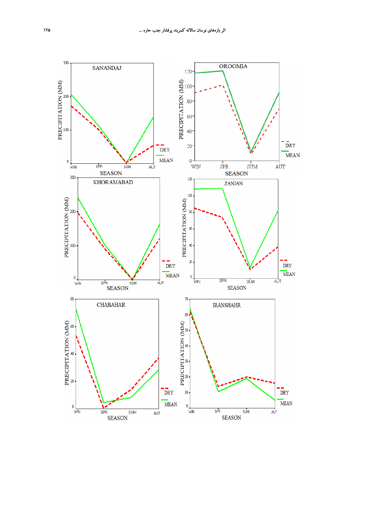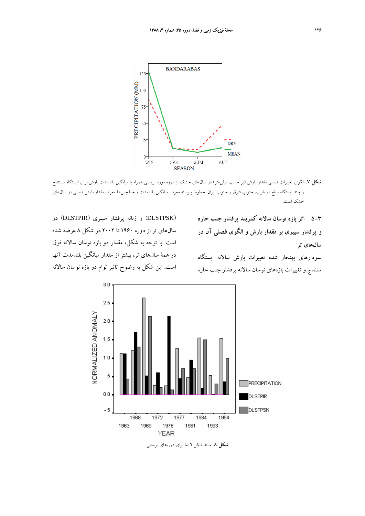

**شكل .7** الگوي تغييرات فصلي مقدار بارش (بر حسب ميليمتر) در سالهاي خشك از دوره مورد بررسي همراه با ميانگين بلندمدت بارش براي ايستگاه سـنندج و چند ايستگاه واقع در غرب، جنوب شرق و جنوب ايران. خطوط پيوسته معرف ميانگين بلندمدت و خطچينها معرف مقدار بارش فصلي در سالهاي خشك است.

**5-3 اثر بازه نوسان سالانه كمربند پرفشار جنب حاره و پرفشار سيبري بر مقدار بارش و الگوي فصلي آن در سالهاي تر**

نمودارهاي بهنجار شده تغييرات بارش سالانه ايستگاه سنندج و تغييرات بازههاي نوسان سالانه پرفشار جنب حاره



(DLSTPSK (و زبانه پرفشار سيبري (DLSTPIR (در



**شكل .8** مانند شكل 6 اما براي دورههاي ترسالي.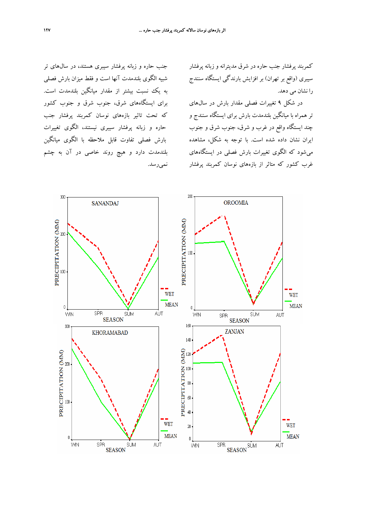كمربند پرفشار جنب حاره در شرق مديترانه و زبانه پرفشار سيبري (واقع بر تهران) بر افزايش بارندگي ايستگاه سنندج را نشان مي دهد.

در شكل 9 تغييرات فصلي مقدار بارش در سالهاي تر همراه با ميانگين بلندمدت بارش براي ايستگاه سنندج و چند ايستگاه واقع در غرب و شرق، جنوب شرق و جنوب ايران نشان داده شده است. با توجه به شكل، مشاهده ميشود كه الگوي تغييرات بارش فصلي در ايستگاههاي غرب كشور كه متاثر از بازههاي نوسان كمربند پرفشار

جنب حاره و زبانه پرفشار سيبري هستند، در سالهاي تر شبيه الگوي بلندمدت آنها است و فقط ميزان بارش فصلي به يك نسبت بيشتر از مقدار ميانگين بلندمدت است. براي ايستگاههاي شرق، جنوب شرق و جنوب كشور كه تحت تاثير بازههاي نوسان كمربند پرفشار جنب حاره و زبانه پرفشار سيبري نيستند، الگوي تغييرات بارش فصلي تفاوت قابل ملاحظه با الگوي ميانگين بلندمدت دارد و هيچ روند خاصي در آن به چشم نميرسد.

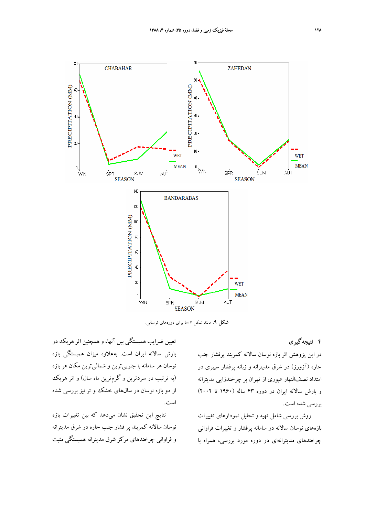

**شكل .9** مانند شكل 7 اما براي دورههاي ترسالي.

**4 نتيجهگيري**

در اين پژوهش اثر بازه نوسان سالانه كمربند پرفشار جنب حاره (آزورز) در شرق مديترانه و زبانه پرفشار سيبري در امتداد نصفالنهار عبوري از تهران بر چرخندزايي مديترانه و بارش سالانه ايران در دوره 43 ساله (1960 تا 2002) بررسي شده است.

روش بررسي شامل تهيه و تحليل نمودارهاي تغييرات بازههاي نوسان سالانه دو سامانه پرفشار و تغييرات فراواني چرخندهاي مديترانهاي در دوره مورد بررسي، همراه با

تعيين ضرايب همبستگي بين آنها، و همچنين اثرهريك در بارش سالانه ايران است. بهعلاوه ميزان همبستگي بازه نوسان هر سامانه با جنوبيترين و شماليترين مكان هر بازه (به ترتيب در سردترين و گرمترين ماه سال) و اثر هريك از دو بازه نوسان در سالهاي خشك و تر نيز بررسي شده است.

نتايج اين تحقيق نشان ميدهد كه بين تغييرات بازه نوسان سالانه كمربند پر فشار جنب حاره در شرق مديترانه و فراواني چرخندهاي مركز شرق مديترانه همبستگي مثبت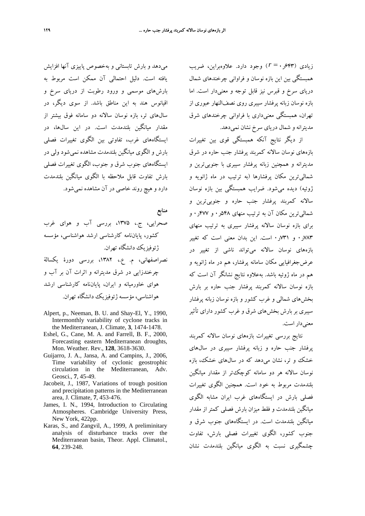زيادي (643ر0 = *r* (وجود دارد. علاوهبراين، ضريب همبستگي بين اين بازه نوسان و فراواني چرخندهاي شمال درياي سرخ و قبرس نيز قابل توجه و معنيدار است. اما بازه نوسان زبانه پرفشار سيبري روي نصفالنهار عبوري از تهران، همبستگي معنيداري با فراواني چرخندهاي شرق مديترانه و شمال درياي سرخ نشان نميدهد.

از ديگر نتايج آنكه همبستگي قوي بين تغييرات بازههاي نوسان سالانه كمربند پرفشار جنب حاره در شرق مديترانه و همچنين زبانه پرفشار سيبري با جنوبيترين و شماليترين مكان پرفشارها (به ترتيب در ماه ژانويه و ژوئيه) ديده ميشود. ضرايب همبستگي بين بازه نوسان سالانه كمربند پرفشار جنب حاره و جنوبيترين و شماليترين مكان آن به ترتيب منهاي 548ر0 و 477ر0 و براي بازه نوسان سالانه پرفشار سيبري به ترتيب منهاي 783ر0 و 731ر0 است. اين بدان معني است كه تغيير بازههاي نوسان سالانه ميتواند ناشي از تغيير در عرضجغرافيايي مكان سامانه پرفشار، هم در ماه ژانويه و هم در ماه ژوئيه باشد. بهعلاوه نتايج نشانگر آن است كه بازه نوسان سالانه كمربند پرفشار جنب حاره بر بارش بخشهاي شمالي و غرب كشور و بازه نوسان زبانه پرفشار سيبري بر بارش بخشهاي شرق و غرب كشور داراي تأثير معني دار است.

نتايج بررسي تغييرات بازههاي نوسان سالانه كمربند پرفشار جنب حاره و زبانه پرفشار سيبري در سالهاي خشك و تر، نشان ميدهد كه در سالهاي خشك، بازه نوسان سالانه هر دو سامانه كوچكتر از مقدار ميانگين بلندمدت مربوط به خود است. همچنين الگوي تغييرات فصلي بارش در ايستگاههاي غرب ايران مشابه الگوي ميانگين بلندمدت و فقط ميزان بارش فصلي كمتر از مقدار ميانگين بلندمدت است. در ايستگاههاي جنوب شرق و جنوب كشور، الگوي تغييرات فصلي بارش، تفاوت چشمگيري نسبت به الگوي ميانگين بلندمدت نشان

ميدهد و بارش تابستاني و بهخصوص پاييزي آنها افزايش يافته است. دليل احتمالي آن ممكن است مربوط به بارشهاي موسمي و ورود رطوبت از درياي سرخ و اقيانوس هند به اين مناطق باشد. از سوي ديگر، در سالهاي تر، بازه نوسان سالانه دو سامانه فوق بيشتر از مقدار ميانگين بلندمدت است. در اين سالها، در ايستگاههاي غرب، تفاوتي بين الگوي تغييرات فصلي بارش و الگوي ميانگين بلندمدت مشاهده نميشود ولي در ايستگاههاي جنوب شرق و جنوب، الگوي تغييرات فصلي بارش تفاوت قابل ملاحظه با الگوي ميانگين بلندمدت دارد و هيچ روند خاصي در آن مشاهده نميشود.

**منابع** صحرايي، ج،. ،1375 بررسي آب و هواي غرب كشور، پاياننامه كارشناسي ارشد هواشناسي، مؤسسه ژئوفيزيك دانشگاه تهران. نصراصفهاني، م. ع،. ،1382 بررسي دورة يكسالة چرخندزايي در شرق مديترانه و اثرات آن بر آب و هواي خاورميانه و ايران، پاياننامه كارشناسي ارشد هواشناسي، مؤسسه ژئوفيزيك دانشگاه تهران.

- Alpert, p., Neeman, B. U. and Shay-El, Y., 1990, Intermonthly variability of cyclone tracks in the Mediterranean, J. Climate, **3**, 1474-1478.
- Eshel, G., Cane, M. A. and Farrell, B. F., 2000, Forecasting eastern Mediterranean droughts, Mon. Weather. Rev., **128**, 3618-3630.
- Guijarro, J. A., Jansa, A. and Campins, J., 2006, Time variability of cyclonic geostrophic circulation in the Mediterranean, Adv. Geosci., **7**, 45-49.
- Jacobeit, J., 1987, Variations of trough position and precipitation patterns in the Mediterranean area, J. Climate, **7**, 453-476.
- James, I. N., 1994, Introduction to Circulating Atmospheres. Cambridge University Press, New York, 422pp.
- Karas, S., and Zangvil, A., 1999, A preliminitary analysis of disturbance tracks over the Mediterranean basin, Theor. Appl. Climatol., **64**, 239-248.